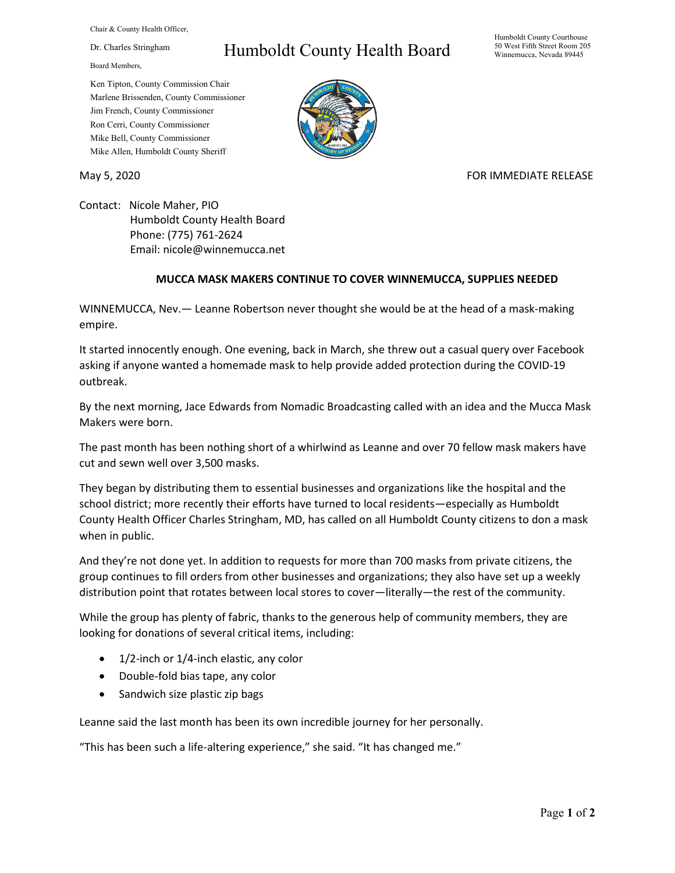Chair & County Health Officer,

Dr. Charles Stringham

Board Members,

## Humboldt County Health Board

Humboldt County Courthouse 50 West Fifth Street Room 205 Winnemucca, Nevada 89445

Ken Tipton, County Commission Chair Marlene Brissenden, County Commissioner Jim French, County Commissioner Ron Cerri, County Commissioner Mike Bell, County Commissioner Mike Allen, Humboldt County Sheriff

May 5, 2020 FOR IMMEDIATE RELEASE

Contact: Nicole Maher, PIO Humboldt County Health Board Phone: (775) 761-2624 Email: nicole@winnemucca.net

## **MUCCA MASK MAKERS CONTINUE TO COVER WINNEMUCCA, SUPPLIES NEEDED**

WINNEMUCCA, Nev.— Leanne Robertson never thought she would be at the head of a mask-making empire.

It started innocently enough. One evening, back in March, she threw out a casual query over Facebook asking if anyone wanted a homemade mask to help provide added protection during the COVID-19 outbreak.

By the next morning, Jace Edwards from Nomadic Broadcasting called with an idea and the Mucca Mask Makers were born.

The past month has been nothing short of a whirlwind as Leanne and over 70 fellow mask makers have cut and sewn well over 3,500 masks.

They began by distributing them to essential businesses and organizations like the hospital and the school district; more recently their efforts have turned to local residents—especially as Humboldt County Health Officer Charles Stringham, MD, has called on all Humboldt County citizens to don a mask when in public.

And they're not done yet. In addition to requests for more than 700 masks from private citizens, the group continues to fill orders from other businesses and organizations; they also have set up a weekly distribution point that rotates between local stores to cover—literally—the rest of the community.

While the group has plenty of fabric, thanks to the generous help of community members, they are looking for donations of several critical items, including:

- 1/2-inch or 1/4-inch elastic, any color
- Double-fold bias tape, any color
- Sandwich size plastic zip bags

Leanne said the last month has been its own incredible journey for her personally.

"This has been such a life-altering experience," she said. "It has changed me."